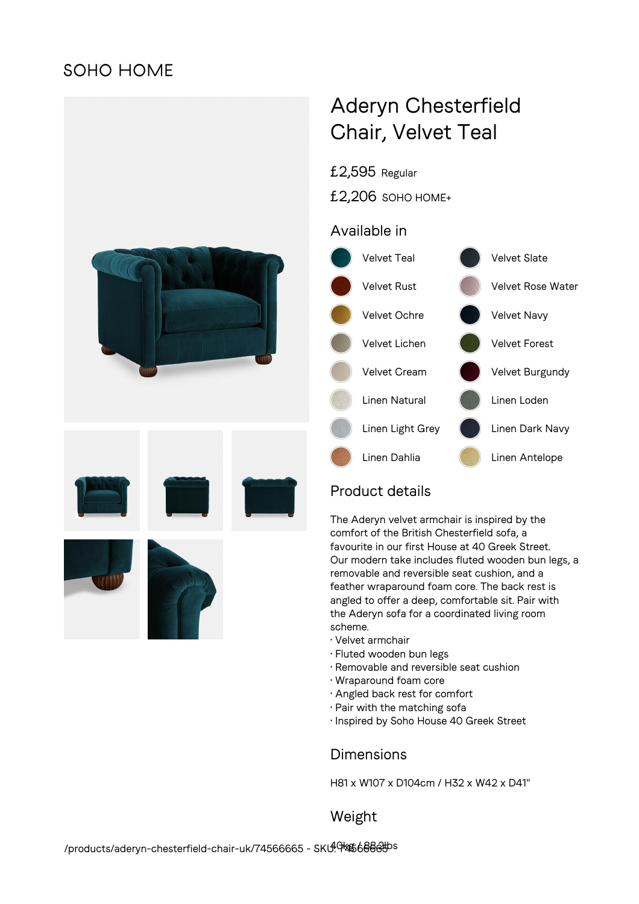## **SOHO HOME**



# Aderyn Chesterfield Chair, Velvet Teal

£2,595 Regular

£2,206 SOHO HOME+

### Available in



## Product details

The Aderyn velvet armchair is inspired by the comfort of the British Chesterfield sofa, a favourite in our first House at 40 Greek Street. Our modern take includes fluted wooden bun legs, a removable and reversible seat cushion, and a feather wraparound foam core. The back rest is angled to offer a deep, comfortable sit. Pair with the Aderyn sofa for a coordinated living room scheme.

- Velvet armchair
- Fluted wooden bun legs
- Removable and reversible seat cushion
- Wraparound foam core
- Angled back rest for comfort
- Pair with the matching sofa
- Inspired by Soho House 40 Greek Street

#### **Dimensions**

H81 x W107 x D104cm / H32 x W42 x D41"

Weight